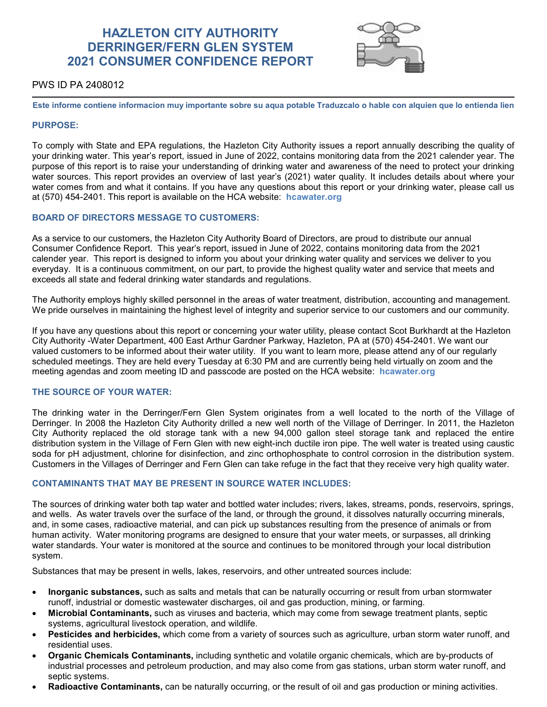# **HAZLETON CITY AUTHORITY DERRINGER/FERN GLEN SYSTEM 2021 CONSUMER CONFIDENCE REPORT**



# PWS ID PA 2408012

**Este informe contiene informacion muy importante sobre su aqua potable Traduzcalo o hable con alquien que lo entienda lien**

## **PURPOSE:**

To comply with State and EPA regulations, the Hazleton City Authority issues a report annually describing the quality of your drinking water. This year's report, issued in June of 2022, contains monitoring data from the 2021 calender year. The purpose of this report is to raise your understanding of drinking water and awareness of the need to protect your drinking water sources. This report provides an overview of last year's (2021) water quality. It includes details about where your water comes from and what it contains. If you have any questions about this report or your drinking water, please call us at (570) 454-2401. This report is available on the HCA website: **hcawater.org**

# **BOARD OF DIRECTORS MESSAGE TO CUSTOMERS:**

As a service to our customers, the Hazleton City Authority Board of Directors, are proud to distribute our annual Consumer Confidence Report. This year's report, issued in June of 2022, contains monitoring data from the 2021 calender year. This report is designed to inform you about your drinking water quality and services we deliver to you everyday. It is a continuous commitment, on our part, to provide the highest quality water and service that meets and exceeds all state and federal drinking water standards and regulations.

The Authority employs highly skilled personnel in the areas of water treatment, distribution, accounting and management. We pride ourselves in maintaining the highest level of integrity and superior service to our customers and our community.

If you have any questions about this report or concerning your water utility, please contact Scot Burkhardt at the Hazleton City Authority -Water Department, 400 East Arthur Gardner Parkway, Hazleton, PA at (570) 454-2401. We want our valued customers to be informed about their water utility. If you want to learn more, please attend any of our regularly scheduled meetings. They are held every Tuesday at 6:30 PM and are currently being held virtually on zoom and the meeting agendas and zoom meeting ID and passcode are posted on the HCA website: **hcawater.org**

# **THE SOURCE OF YOUR WATER:**

The drinking water in the Derringer/Fern Glen System originates from a well located to the north of the Village of Derringer. In 2008 the Hazleton City Authority drilled a new well north of the Village of Derringer. In 2011, the Hazleton City Authority replaced the old storage tank with a new 94,000 gallon steel storage tank and replaced the entire distribution system in the Village of Fern Glen with new eight-inch ductile iron pipe. The well water is treated using caustic soda for pH adjustment, chlorine for disinfection, and zinc orthophosphate to control corrosion in the distribution system. Customers in the Villages of Derringer and Fern Glen can take refuge in the fact that they receive very high quality water.

# **CONTAMINANTS THAT MAY BE PRESENT IN SOURCE WATER INCLUDES:**

The sources of drinking water both tap water and bottled water includes; rivers, lakes, streams, ponds, reservoirs, springs, and wells. As water travels over the surface of the land, or through the ground, it dissolves naturally occurring minerals, and, in some cases, radioactive material, and can pick up substances resulting from the presence of animals or from human activity. Water monitoring programs are designed to ensure that your water meets, or surpasses, all drinking water standards. Your water is monitored at the source and continues to be monitored through your local distribution system.

Substances that may be present in wells, lakes, reservoirs, and other untreated sources include:

- **Inorganic substances,** such as salts and metals that can be naturally occurring or result from urban stormwater runoff, industrial or domestic wastewater discharges, oil and gas production, mining, or farming.
- **Microbial Contaminants,** such as viruses and bacteria, which may come from sewage treatment plants, septic systems, agricultural livestock operation, and wildlife.
- **Pesticides and herbicides,** which come from a variety of sources such as agriculture, urban storm water runoff, and residential uses.
- **Organic Chemicals Contaminants,** including synthetic and volatile organic chemicals, which are by-products of industrial processes and petroleum production, and may also come from gas stations, urban storm water runoff, and septic systems.
- **Radioactive Contaminants,** can be naturally occurring, or the result of oil and gas production or mining activities.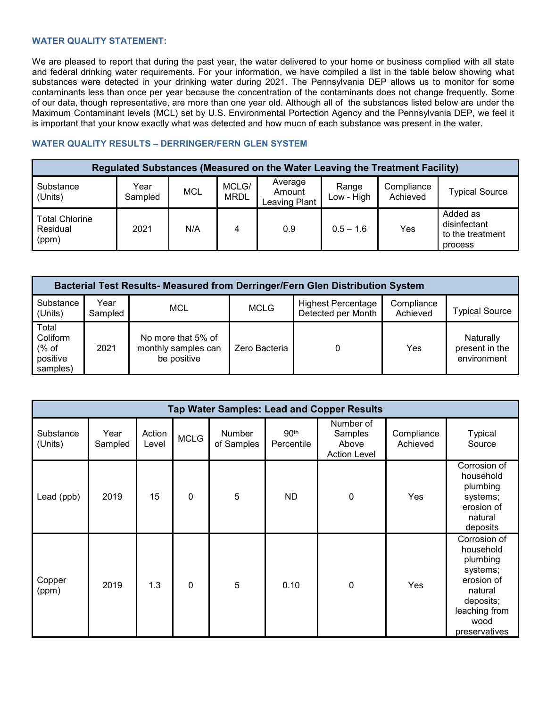# **WATER QUALITY STATEMENT:**

We are pleased to report that during the past year, the water delivered to your home or business complied with all state and federal drinking water requirements. For your information, we have compiled a list in the table below showing what substances were detected in your drinking water during 2021. The Pennsylvania DEP allows us to monitor for some contaminants less than once per year because the concentration of the contaminants does not change frequently. Some of our data, though representative, are more than one year old. Although all of the substances listed below are under the Maximum Contaminant levels (MCL) set by U.S. Environmental Portection Agency and the Pennsylvania DEP, we feel it is important that your know exactly what was detected and how mucn of each substance was present in the water.

# **WATER QUALITY RESULTS – DERRINGER/FERN GLEN SYSTEM**

| Regulated Substances (Measured on the Water Leaving the Treatment Facility) |                 |            |                      |                                    |                     |                        |                                                         |  |  |  |
|-----------------------------------------------------------------------------|-----------------|------------|----------------------|------------------------------------|---------------------|------------------------|---------------------------------------------------------|--|--|--|
| Substance<br>(Units)                                                        | Year<br>Sampled | <b>MCL</b> | MCLG/<br><b>MRDL</b> | Average<br>Amount<br>Leaving Plant | Range<br>Low - High | Compliance<br>Achieved | <b>Typical Source</b>                                   |  |  |  |
| <b>Total Chlorine</b><br>Residual<br>(ppm)                                  | 2021            | N/A        | 4                    | 0.9                                | $0.5 - 1.6$         | Yes                    | Added as<br>disinfectant<br>to the treatment<br>process |  |  |  |

| Bacterial Test Results- Measured from Derringer/Fern Glen Distribution System |                 |                                                          |               |                                                 |                        |                                            |  |  |  |  |
|-------------------------------------------------------------------------------|-----------------|----------------------------------------------------------|---------------|-------------------------------------------------|------------------------|--------------------------------------------|--|--|--|--|
| Substance<br>(Units)                                                          | Year<br>Sampled | MCL                                                      | <b>MCLG</b>   | <b>Highest Percentage</b><br>Detected per Month | Compliance<br>Achieved | <b>Typical Source</b>                      |  |  |  |  |
| Total<br>Coliform<br>% of<br>positive<br>samples)                             | 2021            | No more that 5% of<br>monthly samples can<br>be positive | Zero Bacteria |                                                 | Yes                    | Naturally<br>present in the<br>environment |  |  |  |  |

| <b>Tap Water Samples: Lead and Copper Results</b> |                 |                 |             |                      |                                |                                                      |                        |                                                                                                                                   |  |  |
|---------------------------------------------------|-----------------|-----------------|-------------|----------------------|--------------------------------|------------------------------------------------------|------------------------|-----------------------------------------------------------------------------------------------------------------------------------|--|--|
| Substance<br>(Units)                              | Year<br>Sampled | Action<br>Level | <b>MCLG</b> | Number<br>of Samples | 90 <sup>th</sup><br>Percentile | Number of<br>Samples<br>Above<br><b>Action Level</b> | Compliance<br>Achieved | <b>Typical</b><br>Source                                                                                                          |  |  |
| Lead (ppb)                                        | 2019            | 15              | $\mathbf 0$ | 5                    | ND.                            | $\mathbf 0$                                          | Yes                    | Corrosion of<br>household<br>plumbing<br>systems;<br>erosion of<br>natural<br>deposits                                            |  |  |
| Copper<br>(ppm)                                   | 2019            | 1.3             | $\mathbf 0$ | 5                    | 0.10                           | $\mathbf 0$                                          | Yes                    | Corrosion of<br>household<br>plumbing<br>systems;<br>erosion of<br>natural<br>deposits;<br>leaching from<br>wood<br>preservatives |  |  |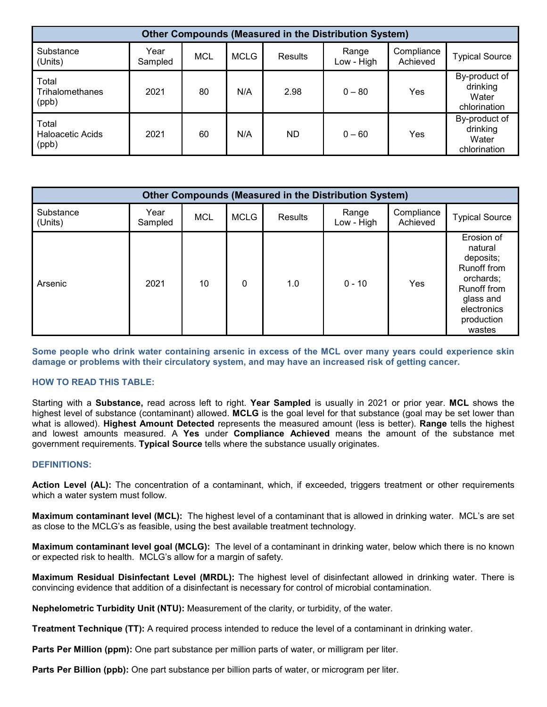| <b>Other Compounds (Measured in the Distribution System)</b> |                 |     |             |                |                     |                        |                                                    |  |  |
|--------------------------------------------------------------|-----------------|-----|-------------|----------------|---------------------|------------------------|----------------------------------------------------|--|--|
| Substance<br>(Units)                                         | Year<br>Sampled | MCL | <b>MCLG</b> | <b>Results</b> | Range<br>Low - High | Compliance<br>Achieved | <b>Typical Source</b>                              |  |  |
| Total<br>Trihalomethanes<br>(ppb)                            | 2021            | 80  | N/A         | 2.98           | $0 - 80$            | Yes                    | By-product of<br>drinking<br>Water<br>chlorination |  |  |
| Total<br><b>Haloacetic Acids</b><br>(ppb)                    | 2021            | 60  | N/A         | ND.            | $0 - 60$            | Yes                    | By-product of<br>drinking<br>Water<br>chlorination |  |  |

| <b>Other Compounds (Measured in the Distribution System)</b> |                 |            |             |         |                     |                        |                                                                                                                                          |  |  |
|--------------------------------------------------------------|-----------------|------------|-------------|---------|---------------------|------------------------|------------------------------------------------------------------------------------------------------------------------------------------|--|--|
| Substance<br>(Units)                                         | Year<br>Sampled | <b>MCL</b> | <b>MCLG</b> | Results | Range<br>Low - High | Compliance<br>Achieved | <b>Typical Source</b>                                                                                                                    |  |  |
| Arsenic                                                      | 2021            | 10         | 0           | 1.0     | $0 - 10$            | Yes                    | Erosion of<br>natural<br>deposits;<br>Runoff from<br>orchards;<br><b>Runoff from</b><br>glass and<br>electronics<br>production<br>wastes |  |  |

**Some people who drink water containing arsenic in excess of the MCL over many years could experience skin damage or problems with their circulatory system, and may have an increased risk of getting cancer.**

# **HOW TO READ THIS TABLE:**

Starting with a **Substance,** read across left to right. **Year Sampled** is usually in 2021 or prior year. **MCL** shows the highest level of substance (contaminant) allowed. **MCLG** is the goal level for that substance (goal may be set lower than what is allowed). **Highest Amount Detected** represents the measured amount (less is better). **Range** tells the highest and lowest amounts measured. A **Yes** under **Compliance Achieved** means the amount of the substance met government requirements. **Typical Source** tells where the substance usually originates.

# **DEFINITIONS:**

**Action Level (AL):** The concentration of a contaminant, which, if exceeded, triggers treatment or other requirements which a water system must follow.

**Maximum contaminant level (MCL):** The highest level of a contaminant that is allowed in drinking water. MCL's are set as close to the MCLG's as feasible, using the best available treatment technology.

**Maximum contaminant level goal (MCLG):** The level of a contaminant in drinking water, below which there is no known or expected risk to health. MCLG's allow for a margin of safety.

**Maximum Residual Disinfectant Level (MRDL):** The highest level of disinfectant allowed in drinking water. There is convincing evidence that addition of a disinfectant is necessary for control of microbial contamination.

**Nephelometric Turbidity Unit (NTU):** Measurement of the clarity, or turbidity, of the water.

**Treatment Technique (TT):** A required process intended to reduce the level of a contaminant in drinking water.

**Parts Per Million (ppm):** One part substance per million parts of water, or milligram per liter.

**Parts Per Billion (ppb):** One part substance per billion parts of water, or microgram per liter.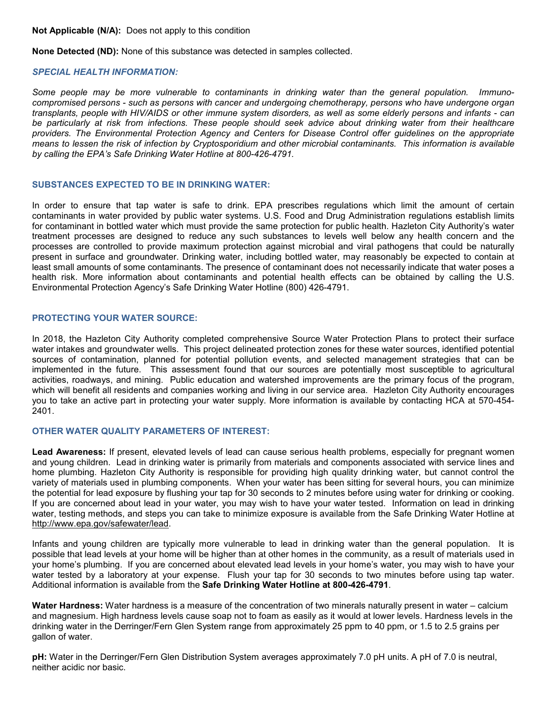**Not Applicable (N/A):** Does not apply to this condition

**None Detected (ND):** None of this substance was detected in samples collected.

# *SPECIAL HEALTH INFORMATION:*

*Some people may be more vulnerable to contaminants in drinking water than the general population. Immunocompromised persons - such as persons with cancer and undergoing chemotherapy, persons who have undergone organ transplants, people with HIV/AIDS or other immune system disorders, as well as some elderly persons and infants - can be particularly at risk from infections. These people should seek advice about drinking water from their healthcare providers. The Environmental Protection Agency and Centers for Disease Control offer guidelines on the appropriate means to lessen the risk of infection by Cryptosporidium and other microbial contaminants. This information is available by calling the EPA's Safe Drinking Water Hotline at 800-426-4791.*

# **SUBSTANCES EXPECTED TO BE IN DRINKING WATER:**

In order to ensure that tap water is safe to drink. EPA prescribes regulations which limit the amount of certain contaminants in water provided by public water systems. U.S. Food and Drug Administration regulations establish limits for contaminant in bottled water which must provide the same protection for public health. Hazleton City Authority's water treatment processes are designed to reduce any such substances to levels well below any health concern and the processes are controlled to provide maximum protection against microbial and viral pathogens that could be naturally present in surface and groundwater. Drinking water, including bottled water, may reasonably be expected to contain at least small amounts of some contaminants. The presence of contaminant does not necessarily indicate that water poses a health risk. More information about contaminants and potential health effects can be obtained by calling the U.S. Environmental Protection Agency's Safe Drinking Water Hotline (800) 426-4791.

### **PROTECTING YOUR WATER SOURCE:**

In 2018, the Hazleton City Authority completed comprehensive Source Water Protection Plans to protect their surface water intakes and groundwater wells. This project delineated protection zones for these water sources, identified potential sources of contamination, planned for potential pollution events, and selected management strategies that can be implemented in the future. This assessment found that our sources are potentially most susceptible to agricultural activities, roadways, and mining. Public education and watershed improvements are the primary focus of the program, which will benefit all residents and companies working and living in our service area. Hazleton City Authority encourages you to take an active part in protecting your water supply. More information is available by contacting HCA at 570-454- 2401.

# **OTHER WATER QUALITY PARAMETERS OF INTEREST:**

**Lead Awareness:** If present, elevated levels of lead can cause serious health problems, especially for pregnant women and young children. Lead in drinking water is primarily from materials and components associated with service lines and home plumbing. Hazleton City Authority is responsible for providing high quality drinking water, but cannot control the variety of materials used in plumbing components. When your water has been sitting for several hours, you can minimize the potential for lead exposure by flushing your tap for 30 seconds to 2 minutes before using water for drinking or cooking. If you are concerned about lead in your water, you may wish to have your water tested. Information on lead in drinking water, testing methods, and steps you can take to minimize exposure is available from the Safe Drinking Water Hotline at [http://www.epa.gov/safewater/lead.](http://www.epa.gov/safewater/lead)

Infants and young children are typically more vulnerable to lead in drinking water than the general population. It is possible that lead levels at your home will be higher than at other homes in the community, as a result of materials used in your home's plumbing. If you are concerned about elevated lead levels in your home's water, you may wish to have your water tested by a laboratory at your expense. Flush your tap for 30 seconds to two minutes before using tap water. Additional information is available from the **Safe Drinking Water Hotline at 800-426-4791**.

**Water Hardness:** Water hardness is a measure of the concentration of two minerals naturally present in water – calcium and magnesium. High hardness levels cause soap not to foam as easily as it would at lower levels. Hardness levels in the drinking water in the Derringer/Fern Glen System range from approximately 25 ppm to 40 ppm, or 1.5 to 2.5 grains per gallon of water.

**pH:** Water in the Derringer/Fern Glen Distribution System averages approximately 7.0 pH units. A pH of 7.0 is neutral, neither acidic nor basic.